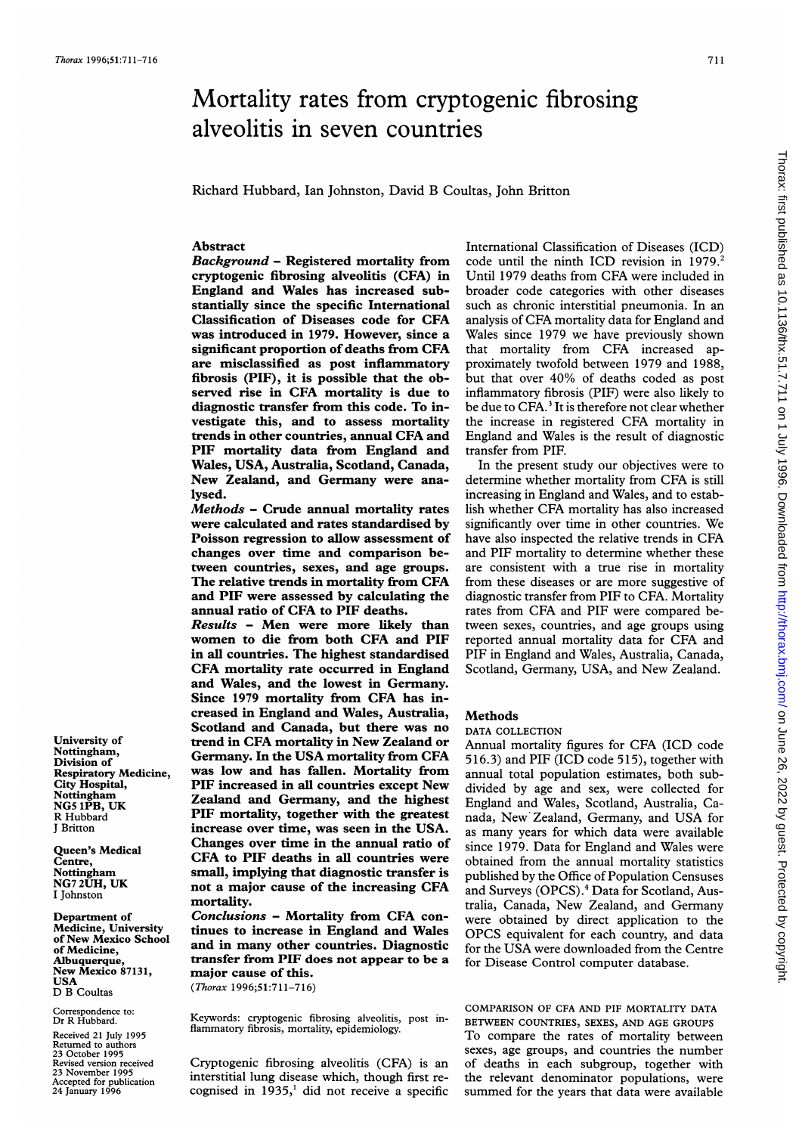# Mortality rates from cryptogenic fibrosing alveolitis in seven countries

Richard Hubbard, Ian Johnston, David B Coultas, John Britton

## Abstract

Background - Registered mortality from cryptogenic fibrosing alveolitis (CFA) in England and Wales has increased substantially since the specific International Classification of Diseases code for CFA was introduced in 1979. However, since a significant proportion of deaths from CFA are misclassified as post inflammatory fibrosis (PIF), it is possible that the observed rise in CFA mortality is due to diagnostic transfer from this code. To investigate this, and to assess mortality trends in other countries, annual CFA and PIF mortality data from England and Wales, USA, Australia, Scotland, Canada, New Zealand, and Germany were analysed.

Methods - Crude annual mortality rates were calculated and rates standardised by Poisson regression to allow assessment of changes over time and comparison between countries, sexes, and age groups. The relative trends in mortality from CFA and PIF were assessed by calculating the annual ratio of CFA to PIF deaths.

Results - Men were more likely than women to die from both CFA and PIF in all countries. The highest standardised CFA mortality rate occurred in England and Wales, and the lowest in Germany. Since <sup>1979</sup> mortality from CFA has increased in England and Wales, Australia, Scotland and Canada, but there was no trend in CFA mortality in New Zealand or Germany. In the USA mortality from CFA was low and has fallen. Mortality from PIF increased in all countries except New Zealand and Germany, and the highest PIF mortality, together with the greatest increase over time, was seen in the USA. Changes over time in the annual ratio of CFA to PIF deaths in all countries were small, implying that diagnostic transfer is not a major cause of the increasing CFA mortality.

Conclusions - Mortality from CFA continues to increase in England and Wales and in many other countries. Diagnostic transfer from PIF does not appear to be a major cause of this. (Thorax 1996;51:711-716)

Keywords: cryptogenic fibrosing alveolitis, post inflammatory fibrosis, mortality, epidemiology.

Cryptogenic fibrosing alveolitis (CFA) is an interstitial lung disease which, though first recognised in 1935,' did not receive <sup>a</sup> specific International Classification of Diseases (ICD) code until the ninth ICD revision in  $1979<sup>2</sup>$ Until 1979 deaths from CFA were included in broader code categories with other diseases such as chronic interstitial pneumonia. In an analysis of CFA mortality data for England and Wales since 1979 we have previously shown that mortality from CFA increased approximately twofold between 1979 and 1988, but that over 40% of deaths coded as post inflammatory fibrosis (PIF) were also likely to be due to CFA.<sup>3</sup> It is therefore not clear whether the increase in registered CFA mortality in England and Wales is the result of diagnostic transfer from PIF.

In the present study our objectives were to determine whether mortality from CFA is still increasing in England and Wales, and to establish whether CFA mortality has also increased significantly over time in other countries. We have also inspected the relative trends in CFA and PIF mortality to determine whether these are consistent with a true rise in mortality from these diseases or are more suggestive of diagnostic transfer from PIF to CFA. Mortality rates from CFA and PIF were compared between sexes, countries, and age groups using reported annual mortality data for CFA and PIF in England and Wales, Australia, Canada, Scotland, Germany, USA, and New Zealand.

### **Methods**

DATA COLLECTION

Annual mortality figures for CFA (ICD code 516.3) and PIF (ICD code 515), together with annual total population estimates, both subdivided by age and sex, were collected for England and Wales, Scotland, Australia, Canada, New' Zealand, Germany, and USA for as many years for which data were available since 1979. Data for England and Wales were obtained from the annual mortality statistics published by the Office of Population Censuses and Surveys (OPCS).<sup>4</sup> Data for Scotland, Australia, Canada, New Zealand, and Germany were obtained by direct application to the OPCS equivalent for each country, and data for the USA were downloaded from the Centre for Disease Control computer database.

COMPARISON OF CFA AND PIF MORTALITY DATA BETWEEN COUNTRIES, SEXES, AND AGE GROUPS To compare the rates of mortality between sexes, age groups, and countries the number of deaths in each subgroup, together with the relevant denominator populations, were summed for the years that data were available

University of Nottingham, Division of Respiratory Medicine, City Hospital, Nottingham NG5 1PB, UK R Hubbard J Britton

Queen's Medical Centre, Nottingham NG7 2UH, UK <sup>I</sup> Johnston

Department of Medicine, University of New Mexico School of Medicine, **Albuquerque** New Mexico 87131, USA D B Coultas

Correspondence to: Dr R Hubbard.

Received 21 July 1995 Retumed to authors 23 October 1995 Revised version received 23 November 199 Accepted for publication 24 January 1996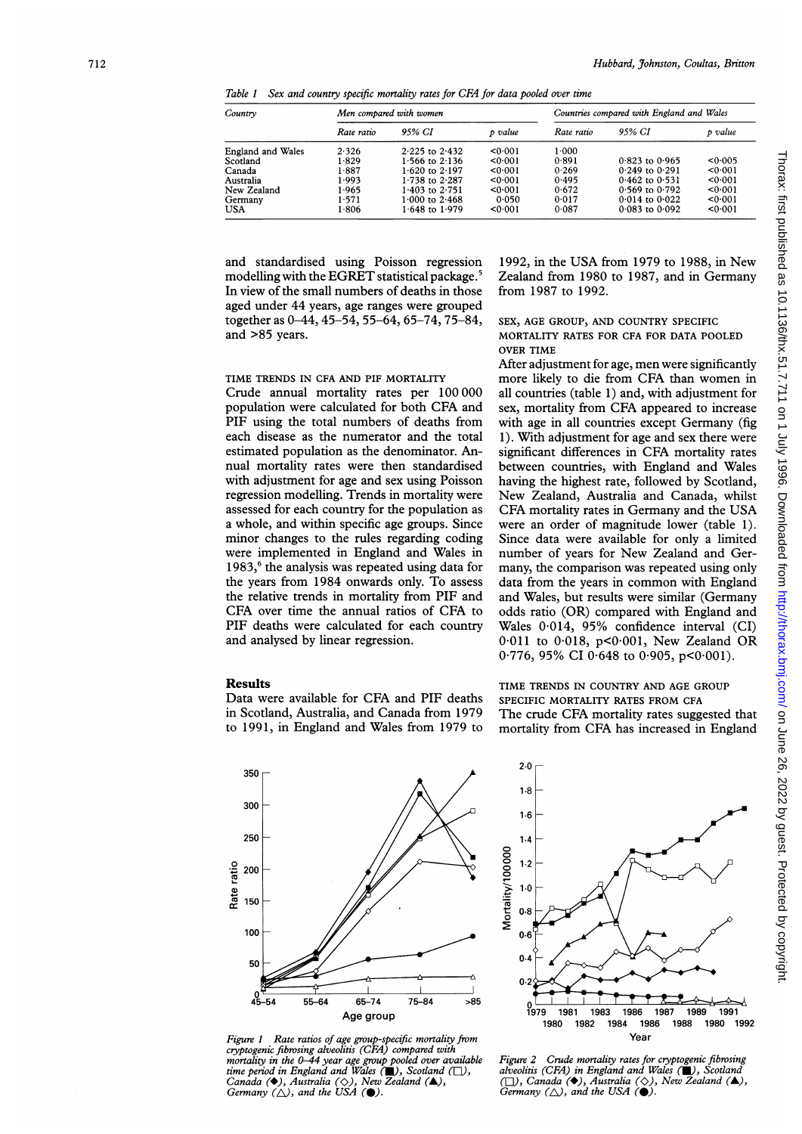Table 1 Sex and country specific mortality rates for CFA for data pooled over time

| Country           |            | Men compared with women |         | Countries compared with England and Wales |                    |         |  |
|-------------------|------------|-------------------------|---------|-------------------------------------------|--------------------|---------|--|
|                   | Rate ratio | 95% CI                  | p value | Rate ratio                                | 95% CI             | p value |  |
| England and Wales | 2.326      | $2.225$ to $2.432$      | 0.001   | 1.000                                     |                    |         |  |
| Scotland          | 1.829      | $1.566$ to $2.136$      | 0.001   | 0.891                                     | $0.823$ to $0.965$ | 0.005   |  |
| Canada            | 1.887      | $1.620$ to $2.197$      | 0.001   | 0.269                                     | $0.249$ to $0.291$ | 0.001   |  |
| Australia         | 1.993      | $1.738$ to $2.287$      | 0.001   | 0.495                                     | $0.462$ to $0.531$ | < 0.001 |  |
| New Zealand       | 1.965      | $1.403$ to $2.751$      | <0.001  | 0.672                                     | $0.569$ to $0.792$ | 0.001   |  |
| Germanv           | 1.571      | 1 000 to 2 468          | 0.050   | 0.017                                     | $0.014$ to $0.022$ | 0.001   |  |
| USA               | 1.806      | $1.648$ to $1.979$      | < 0.001 | 0.087                                     | $0.083$ to $0.092$ | <0.001  |  |

and standardised using Poisson regression modelling with the EGRET statistical package.5 In view of the small numbers of deaths in those aged under 44 years, age ranges were grouped together as 0-44, 45-54, 55-64, 65-74, 75-84, and >85 years.

TIME TRENDS IN CFA AND PIF MORTALITY

Crude annual mortality rates per 100 000 population were calculated for both CFA and PIF using the total numbers of deaths from each disease as the numerator and the total estimated population as the denominator. Annual mortality rates were then standardised with adjustment for age and sex using Poisson regression modelling. Trends in mortality were assessed for each country for the population as a whole, and within specific age groups. Since minor changes to the rules regarding coding were implemented in England and Wales in  $1983<sup>6</sup>$ , the analysis was repeated using data for the years from 1984 onwards only. To assess the relative trends in mortality from PIF and CFA over time the annual ratios of CFA to PIF deaths were calculated for each country and analysed by linear regression.

#### Results

Data were available for CFA and PIF deaths in Scotland, Australia, and Canada from 1979 to 1991, in England and Wales from 1979 to

1992, in the USA from 1979 to 1988, in New Zealand from 1980 to 1987, and in Germany from 1987 to 1992.

SEX, AGE GROUP, AND COUNTRY SPECIFIC MORTALITY RATES FOR CFA FOR DATA POOLED OVER TIME

After adjustment for age, men were significantly more likely to die from CFA than women in all countries (table 1) and, with adjustment for sex, mortality from CFA appeared to increase with age in all countries except Germany (fig 1). With adjustment for age and sex there were significant differences in CFA mortality rates between countries, with England and Wales having the highest rate, followed by Scotland, New Zealand, Australia and Canada, whilst CFA mortality rates in Germany and the USA were an order of magnitude lower (table 1). Since data were available for only a limited number of years for New Zealand and Germany, the comparison was repeated using only data from the years in common with England and Wales, but results were similar (Germany odds ratio (OR) compared with England and Wales 0-014, 95% confidence interval (CI) 0-011 to 0-018, p<0-001, New Zealand OR  $0.776$ , 95% CI 0.648 to 0.905, p<0.001).

# TIME TRENDS IN COUNTRY AND AGE GROUP SPECIFIC MORTALITY RATES FROM CFA

The crude CFA mortality rates suggested that mortality from CFA has increased in England



Figure <sup>1</sup> Rate ratios of age group-specific mortality from cryptogenic fibrosing alveolitis (CFA) compared with mortality in the 0-44 year age group pooled over available time period in England and Wales (U), Scotland (E]), Canada ( $\bullet$ ), Australia ( $\diamondsuit$ ), New Zealand ( $\blacktriangle$ ), Germany ( $\triangle$ ), and the USA ( $\bullet$ ).



Figure 2 Crude mortality rates for cryptogenic fibrosing alveolitis (CFA) in England and Wales  $(\blacksquare)$ , Scotland  $(\Box)$ , Canada ( $\blacklozenge$ ), Australia ( $\diamond$ ), New Zealand ( $\blacktriangle$ ), Germany  $(\triangle)$ , and the USA ( $\bullet$ ).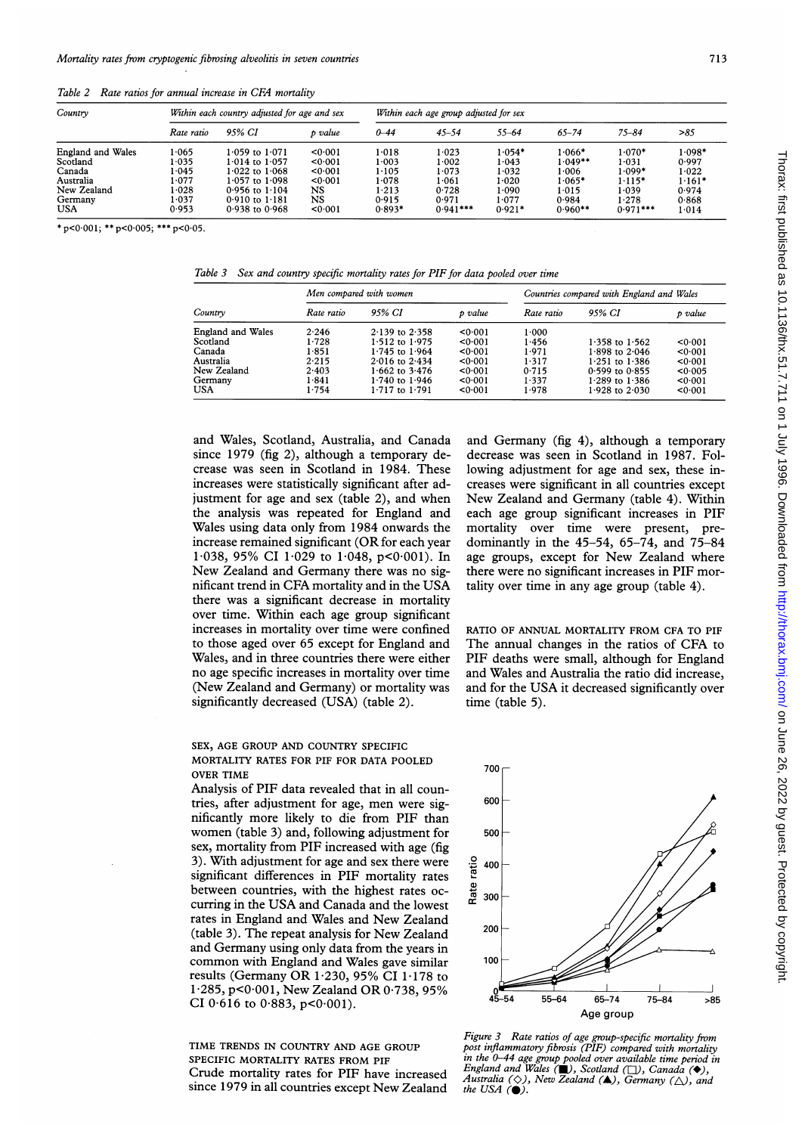| Country<br>Rate ratio    |        | Within each country adjusted for age and sex |          |           | Within each age group adjusted for sex |           |           |            |          |  |
|--------------------------|--------|----------------------------------------------|----------|-----------|----------------------------------------|-----------|-----------|------------|----------|--|
|                          | 95% CI | p value                                      | $0 - 44$ | $45 - 54$ | $55 - 64$                              | $65 - 74$ | $75 - 84$ | >85        |          |  |
| <b>England and Wales</b> | 1.065  | $1.059$ to $1.071$                           | 0.001    | $1 - 018$ | 1.023                                  | $1.054*$  | $1.066*$  | $1.070*$   | $1.098*$ |  |
| Scotland                 | 1.035  | 1 014 to 1 057                               | 0.001    | 1.003     | 1 002                                  | 1.043     | $1.049**$ | 1.031      | 0.997    |  |
| Canada                   | 1.045  | 1.022 to 1.068                               | 0.001    | 1.105     | 1.073                                  | 1.032     | 1.006     | $1.099*$   | 1.022    |  |
| Australia                | 1.077  | 1.057 to 1.098                               | <0.001   | 1.078     | 1.061                                  | 1.020     | 1.065*    | $1.115*$   | $1.161*$ |  |
| New Zealand              | 1.028  | $0.956$ to $1.104$                           | NS       | 1.213     | 0.728                                  | 1.090     | 1.015     | 1.039      | 0.974    |  |
| Germany                  | 1.037  | $0.910$ to $1.181$                           | NS       | 0.915     | 0.971                                  | 1.077     | 0.984     | 1.278      | 0.868    |  |
| USA                      | 0.953  | $0.938$ to $0.968$                           | 0.001    | $0.893*$  | $0.941***$                             | $0.921*$  | $0.960**$ | $0.971***$ | 1.014    |  |

Table 2 Rate ratios for annual increase in CFA mortality

\* p<0-001; \*\* p<0-005; \*\*\* p<0-05.

Table 3 Sex and country specific mortality rates for PIF for data pooled over time

|                   |            | Men compared with women |         | Countries compared with England and Wales |                    |         |  |
|-------------------|------------|-------------------------|---------|-------------------------------------------|--------------------|---------|--|
| Country           | Rate ratio | 95% CI                  | p value | Rate ratio                                | 95% CI             | p value |  |
| England and Wales | 2.246      | $2.139$ to $2.358$      | <0.001  | $1 - 000$                                 |                    |         |  |
| Scotland          | 1.728      | $1.512$ to $1.975$      | <0.001  | 1.456                                     | $1.358$ to $1.562$ | <0.001  |  |
| Canada            | 1.851      | $1.745$ to $1.964$      | <0.001  | 1.971                                     | $1.898$ to $2.046$ | <0.001  |  |
| Australia         | 2.215      | $2.016$ to $2.434$      | <0.001  | 1.317                                     | $1.251$ to $1.386$ | <0.001  |  |
| New Zealand       | 2.403      | $1.662$ to $3.476$      | < 0.001 | 0.715                                     | $0.599$ to $0.855$ | <0.005  |  |
| Germany           | 1-841      | $1.740$ to $1.946$      | 0.001   | 1.337                                     | $1.289$ to $1.386$ | 0.001   |  |
| <b>USA</b>        | 1-754      | $1.717$ to $1.791$      | 0.001   | 1.978                                     | $1.928$ to $2.030$ | 0.001   |  |

and Wales, Scotland, Australia, and Canada since 1979 (fig 2), although a temporary decrease was seen in Scotland in 1984. These increases were statistically significant after adjustment for age and sex (table 2), and when the analysis was repeated for England and Wales using data only from 1984 onwards the increase remained significant (OR for each year 1.038, 95% CI 1.029 to 1.048, p<0.001). In New Zealand and Germany there was no significant trend in CFA mortality and in the USA there was a significant decrease in mortality over time. Within each age group significant increases in mortality over time were confined to those aged over 65 except for England and Wales, and in three countries there were either no age specific increases in mortality over time (New Zealand and Germany) or mortality was significantly decreased (USA) (table 2).

#### SEX, AGE GROUP AND COUNTRY SPECIFIC MORTALITY RATES FOR PIF FOR DATA POOLED OVER TIME

Analysis of PIF data revealed that in all countries, after adjustment for age, men were significantly more likely to die from PIF than women (table 3) and, following adjustment for sex, mortality from PIF increased with age (fig 3). With adjustment for age and sex there were significant differences in PIF mortality rates between countries, with the highest rates occurring in the USA and Canada and the lowest rates in England and Wales and New Zealand (table 3). The repeat analysis for New Zealand and Germany using only data from the years in common with England and Wales gave similar results (Germany OR 1-230, 95% CI 1-178 to 1-285, p<0-001, New Zealand OR 0738, 95% CI 0-616 to 0-883, p<0-001).

TIME TRENDS IN COUNTRY AND AGE GROUP SPECIFIC MORTALITY RATES FROM PIF Crude mortality rates for PIF have increased since 1979 in all countries except New Zealand

and Germany (fig 4), although a temporary decrease was seen in Scotland in 1987. Following adjustment for age and sex, these increases were significant in all countries except New Zealand and Germany (table 4). Within each age group significant increases in PIF mortality over time were present, predominantly in the 45-54, 65-74, and 75-84 age groups, except for New Zealand where there were no significant increases in PIF mortality over time in any age group (table 4).

RATIO OF ANNUAL MORTALITY FROM CFA TO PIF The annual changes in the ratios of CFA to PIF deaths were small, although for England and Wales and Australia the ratio did increase, and for the USA it decreased significantly over time (table 5).



Figure 3 Rate ratios of age group-specific mortality from post inflammatory fibrosis (PIF) compared with mortality in the 0-44 age group pooled over available time period in England and Wales  $(\blacksquare)$ , Scotland  $(\square)$ , Canada  $(\blacklozenge)$ , Australia ( $\diamond$ ), New Zealand ( $\blacktriangle$ ), Germany ( $\triangle$ ), and the USA ( $\blacklozenge$ ).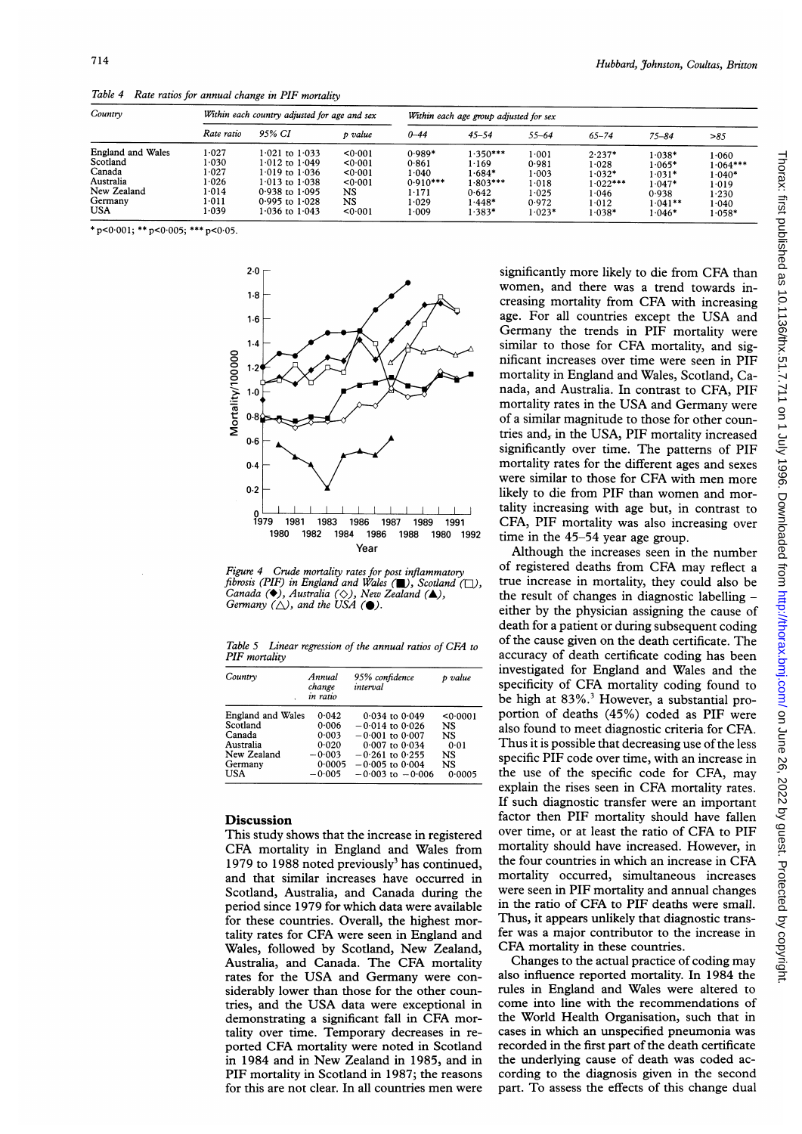| Country<br>Rate ratio    |        | Within each country adjusted for age and sex |          |            | Within each age group adjusted for sex |           |            |           |            |  |
|--------------------------|--------|----------------------------------------------|----------|------------|----------------------------------------|-----------|------------|-----------|------------|--|
|                          | 95% CI | p value                                      | $0 - 44$ | $45 - 54$  | $55 - 64$                              | $65 - 74$ | $75 - 84$  | >85       |            |  |
| <b>England and Wales</b> | 1.027  | $1.021$ to $1.033$                           | 0.001    | $0.989*$   | $1.350***$                             | 1.001     | $2.237*$   | $1.038*$  | 1.060      |  |
| Scotland                 | 1.030  | $1.012$ to $1.049$                           | 0.001    | 0.861      | 1-169                                  | 0.981     | 1.028      | 1.065*    | $1.064***$ |  |
| Canada                   | 1.027  | $1.019$ to $1.036$                           | 0.001    | 1.040      | $1.684*$                               | 1.003     | $1.032*$   | $1.031*$  | $1.040*$   |  |
| Australia                | 1.026  | 1 013 to 1 038                               | 0.001    | $0.910***$ | $1.803***$                             | 1.018     | $1.022***$ | $1.047*$  | 1.019      |  |
| New Zealand              | 1 014  | $0.938$ to $1.095$                           | NS       | 1.171      | 0.642                                  | 1.025     | 1.046      | 0.938     | 1.230      |  |
| Germanv                  | 1011   | $0.995$ to $1.028$                           | NS       | 1.029      | $1.448*$                               | 0.972     | 1.012      | $1.041**$ | 1.040      |  |
| USA                      | 1.039  | 1∙036 to 1∙043                               | 0.001    | 1 009      | 1.383*                                 | 1 023*    | $1.038*$   | $1.046*$  | $1.058*$   |  |

Table 4 Rate ratios for annual change in PIF mortality

 $*$  p<0.001; \*\* p<0.005; \*\*\* p<0.05.



Figure 4 Crude mortality rates for post inflammatory fibrosis (PIF) in England and Wales  $(\blacksquare)$ , Scotland  $(\square)$ , Canada ( $\blacklozenge$ ), Australia ( $\diamondsuit$ ), New Zealand ( $\blacktriangle$ ), Germany  $(\triangle)$ , and the USA ( $\bullet$ ).

Table S Linear regression of the annual ratios of CFA to PIF mortality

| Country           | Annual<br>change<br>in ratio | 95% confidence<br>interval | p value |
|-------------------|------------------------------|----------------------------|---------|
| England and Wales | 0.042                        | $0.034$ to $0.049$         | <0.0001 |
| Scotland          | 0.006                        | $-0.014$ to 0.026          | NS      |
| Canada            | 0.003                        | $-0.001$ to $0.007$        | NS      |
| Australia         | 0.020                        | $0.007$ to $0.034$         | 0.01    |
| New Zealand       | $-0.003$                     | $-0.261$ to $0.255$        | NS      |
| Germany           | 0.0005                       | $-0.005$ to 0.004          | NS      |
| <b>USA</b>        | $-0.005$                     | $-0.003$ to $-0.006$       | 0.0005  |

#### **Discussion**

This study shows that the increase in registered CFA mortality in England and Wales from 1979 to 1988 noted previously<sup>3</sup> has continued, and that similar increases have occurred in Scotland, Australia, and Canada during the period since 1979 for which data were available for these countries. Overall, the highest mortality rates for CFA were seen in England and Wales, followed by Scotland, New Zealand, Australia, and Canada. The CFA mortality rates for the USA and Germany were considerably lower than those for the other countries, and the USA data were exceptional in demonstrating <sup>a</sup> significant fall in CFA mortality over time. Temporary decreases in reported CFA mortality were noted in Scotland in 1984 and in New Zealand in 1985, and in PIF mortality in Scotland in 1987; the reasons for this are not clear. In all countries men were

significantly more likely to die from CFA than women, and there was a trend towards increasing mortality from CFA with increasing age. For all countries except the USA and Germany the trends in PIF mortality were similar to those for CFA mortality, and significant increases over time were seen in PIF mortality in England and Wales, Scotland, Canada, and Australia. In contrast to CFA, PIF mortality rates in the USA and Germany were of a similar magnitude to those for other countries and, in the USA, PIF mortality increased significantly over time. The patterns of PIF mortality rates for the different ages and sexes were similar to those for CFA with men more likely to die from PIF than women and mortality increasing with age but, in contrast to CFA, PIF mortality was also increasing over time in the 45-54 year age group.

Although the increases seen in the number of registered deaths from CFA may reflect <sup>a</sup> true increase in mortality, they could also be the result of changes in diagnostic labelling  $$ either by the physician assigning the cause of death for a patient or during subsequent coding of the cause given on the death certificate. The accuracy of death certificate coding has been investigated for England and Wales and the specificity of CFA mortality coding found to be high at 83%.<sup>3</sup> However, a substantial proportion of deaths (45%) coded as PIF were also found to meet diagnostic criteria for CFA. Thus it is possible that decreasing use of the less specific PIF code over time, with an increase in the use of the specific code for CFA, may explain the rises seen in CFA mortality rates. If such diagnostic transfer were an important factor then PIF mortality should have fallen over time, or at least the ratio of CFA to PIF mortality should have increased. However, in the four countries in which an increase in CFA mortality occurred, simultaneous increases were seen in PIF mortality and annual changes in the ratio of CFA to PIF deaths were small. Thus, it appears unlikely that diagnostic transfer was a major contributor to the increase in CFA mortality in these countries.

Changes to the actual practice of coding may also influence reported mortality. In 1984 the rules in England and Wales were altered to come into line with the recommendations of the World Health Organisation, such that in cases in which an unspecified pneumonia was recorded in the first part of the death certificate the underlying cause of death was coded according to the diagnosis given in the second part. To assess the effects of this change dual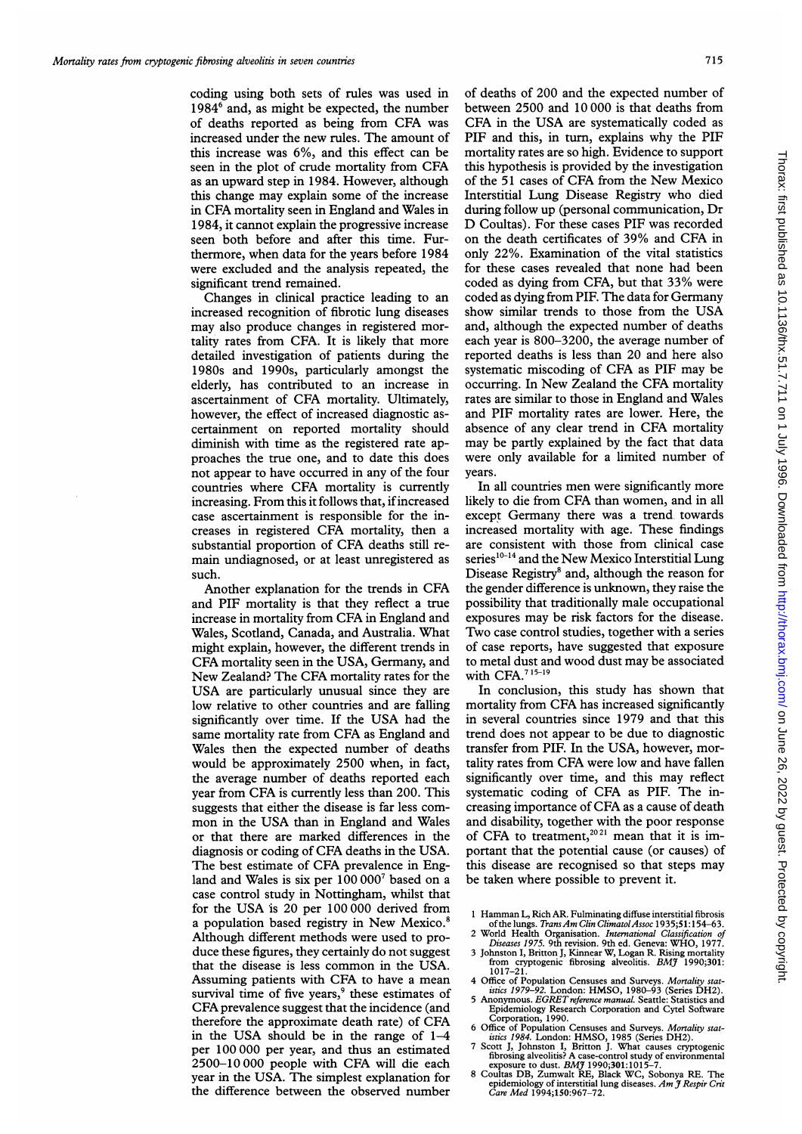coding using both sets of rules was used in  $1984<sup>6</sup>$  and, as might be expected, the number of deaths reported as being from CFA was increased under the new rules. The amount of this increase was 6%, and this effect can be seen in the plot of crude mortality from CFA as an upward step in 1984. However, although this change may explain some of the increase in CFA mortality seen in England and Wales in 1984, it cannot explain the progressive increase seen both before and after this time. Furthermore, when data for the years before 1984 were excluded and the analysis repeated, the significant trend remained.

Changes in clinical practice leading to an increased recognition of fibrotic lung diseases may also produce changes in registered mortality rates from CFA. It is likely that more detailed investigation of patients during the 1980s and 1990s, particularly amongst the elderly, has contributed to an increase in ascertainment of CFA mortality. Ultimately, however, the effect of increased diagnostic ascertainment on reported mortality should diminish with time as the registered rate approaches the true one, and to date this does not appear to have occurred in any of the four countries where CFA mortality is currently increasing. From this it follows that, if increased case ascertainment is responsible for the increases in registered CFA mortality, then <sup>a</sup> substantial proportion of CFA deaths still remain undiagnosed, or at least unregistered as such.

Another explanation for the trends in CFA and PIF mortality is that they reflect a true increase in mortality from CFA in England and Wales, Scotland, Canada, and Australia. What might explain, however, the different trends in CFA mortality seen in the USA, Germany, and New Zealand? The CFA mortality rates for the USA are particularly unusual since they are low relative to other countries and are falling significantly over time. If the USA had the same mortality rate from CFA as England and Wales then the expected number of deaths would be approximately 2500 when, in fact, the average number of deaths reported each year from CFA is currently less than 200. This suggests that either the disease is far less common in the USA than in England and Wales or that there are marked differences in the diagnosis or coding of CFA deaths in the USA. The best estimate of CFA prevalence in England and Wales is six per 100 000' based on <sup>a</sup> case control study in Nottingham, whilst that for the USA is 20 per 100 000 derived from a population based registry in New Mexico.<sup>8</sup> Although different methods were used to produce these figures, they certainly do not suggest that the disease is less common in the USA. Assuming patients with CFA to have <sup>a</sup> mean survival time of five years, $9$  these estimates of CFA prevalence suggest that the incidence (and therefore the approximate death rate) of CFA in the USA should be in the range of 1-4 per 100000 per year, and thus an estimated 2500-10000 people with CFA will die each year in the USA. The simplest explanation for the difference between the observed number

of deaths of 200 and the expected number of between 2500 and 10 000 is that deaths from CFA in the USA are systematically coded as PIF and this, in turn, explains why the PIF mortality rates are so high. Evidence to support this hypothesis is provided by the investigation of the <sup>51</sup> cases of CFA from the New Mexico Interstitial Lung Disease Registry who died during follow up (personal communication, Dr D Coultas). For these cases PIF was recorded on the death certificates of 39% and CFA in only 22%. Examination of the vital statistics for these cases revealed that none had been coded as dying from CFA, but that 33% were coded as dying from PIF. The data for Germany show similar trends to those from the USA and, although the expected number of deaths each year is 800-3200, the average number of reported deaths is less than 20 and here also systematic miscoding of CFA as PIF may be occurring. In New Zealand the CFA mortality rates are similar to those in England and Wales and PIF mortality rates are lower. Here, the absence of any clear trend in CFA mortality may be partly explained by the fact that data were only available for a limited number of years.

In all countries men were significantly more likely to die from CFA than women, and in all except Germany there was a trend towards increased mortality with age. These findings are consistent with those from clinical case series<sup>10-14</sup> and the New Mexico Interstitial Lung Disease Registry<sup>8</sup> and, although the reason for the gender difference is unknown, they raise the possibility that traditionally male occupational exposures may be risk factors for the disease. Two case control studies, together with <sup>a</sup> series of case reports, have suggested that exposure to metal dust and wood dust may be associated with CFA.<sup>715-19</sup>

In conclusion, this study has shown that mortality from CFA has increased significantly in several countries since 1979 and that this trend does not appear to be due to diagnostic transfer from PIF. In the USA, however, mortality rates from CFA were low and have fallen significantly over time, and this may reflect systematic coding of CFA as PIF. The increasing importance of CFA as <sup>a</sup> cause of death and disability, together with the poor response of CFA to treatment,<sup>2021</sup> mean that it is important that the potential cause (or causes) of this disease are recognised so that steps may be taken where possible to prevent it.

- 2 World Health Organisation. *International Classification of*<br>Di*seases 1975.* 9th revision. 9th ed. Geneva: WHO, 1977.<br>3 Johnston I, Britton J, Kinnear W, Logan R. Rising mortality
- from cryptogenic fibrosing alveolitis. BMJ 1990;301:<br>1017–21.
- 4 Office of Population Censuses and Surveys. Mortality statistics 1979-92. London: HMSO, 1980-93 (Series DH2).<br>5 Anonymous. EGRET reference manual. Seattle: Statistics and
- Epidemiology Research Corporation and Cytel Software Corporation, 1990.
- 6 Office of Population Censuses and Surveys. Mortality stat-
- 
- *istics 1984.* London: HMSO, 1985 (Series DH2).<br>
7 Scott J, Johnston J, Britton J. What causes cryptogenic<br>
fibrosing alveolitis? A case-control study of environmental<br>
exposure to dust. BMJ 1990;301:1015-7.<br>
8 Coultas DB

<sup>1</sup> Hamman L, Rich AR. Fulminating diffuse interstitial fibrosis ofthe lungs. TransAm Clin ClimatolAssoc 1935;51:154-63.